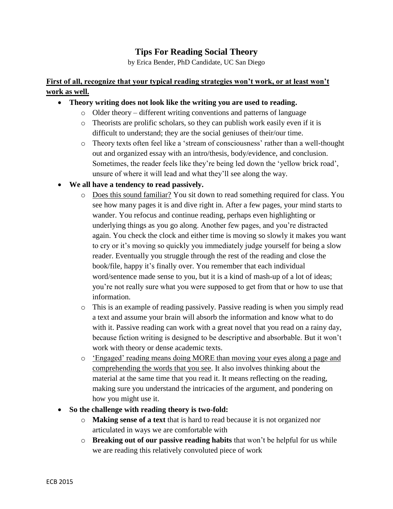# **Tips For Reading Social Theory**

by Erica Bender, PhD Candidate, UC San Diego

## **First of all, recognize that your typical reading strategies won't work, or at least won't work as well.**

## • **Theory writing does not look like the writing you are used to reading.**

- o Older theory different writing conventions and patterns of language
- o Theorists are prolific scholars, so they can publish work easily even if it is difficult to understand; they are the social geniuses of their/our time.
- o Theory texts often feel like a 'stream of consciousness' rather than a well-thought out and organized essay with an intro/thesis, body/evidence, and conclusion. Sometimes, the reader feels like they're being led down the 'yellow brick road', unsure of where it will lead and what they'll see along the way.

## • **We all have a tendency to read passively.**

- o Does this sound familiar? You sit down to read something required for class. You see how many pages it is and dive right in. After a few pages, your mind starts to wander. You refocus and continue reading, perhaps even highlighting or underlying things as you go along. Another few pages, and you're distracted again. You check the clock and either time is moving so slowly it makes you want to cry or it's moving so quickly you immediately judge yourself for being a slow reader. Eventually you struggle through the rest of the reading and close the book/file, happy it's finally over. You remember that each individual word/sentence made sense to you, but it is a kind of mash-up of a lot of ideas; you're not really sure what you were supposed to get from that or how to use that information.
- o This is an example of reading passively. Passive reading is when you simply read a text and assume your brain will absorb the information and know what to do with it. Passive reading can work with a great novel that you read on a rainy day, because fiction writing is designed to be descriptive and absorbable. But it won't work with theory or dense academic texts.
- o 'Engaged' reading means doing MORE than moving your eyes along a page and comprehending the words that you see. It also involves thinking about the material at the same time that you read it. It means reflecting on the reading, making sure you understand the intricacies of the argument, and pondering on how you might use it.
- **So the challenge with reading theory is two-fold:**
	- o **Making sense of a text** that is hard to read because it is not organized nor articulated in ways we are comfortable with
	- o **Breaking out of our passive reading habits** that won't be helpful for us while we are reading this relatively convoluted piece of work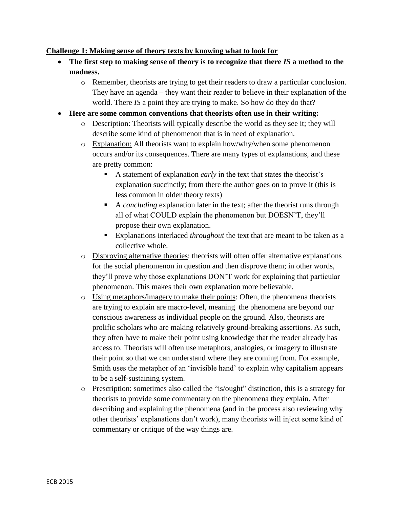#### **Challenge 1: Making sense of theory texts by knowing what to look for**

- **The first step to making sense of theory is to recognize that there** *IS* **a method to the madness.**
	- o Remember, theorists are trying to get their readers to draw a particular conclusion. They have an agenda – they want their reader to believe in their explanation of the world. There *IS* a point they are trying to make. So how do they do that?
- **Here are some common conventions that theorists often use in their writing:**
	- o Description: Theorists will typically describe the world as they see it; they will describe some kind of phenomenon that is in need of explanation.
	- $\circ$  Explanation: All theorists want to explain how/why/when some phenomenon occurs and/or its consequences. There are many types of explanations, and these are pretty common:
		- A statement of explanation *early* in the text that states the theorist's explanation succinctly; from there the author goes on to prove it (this is less common in older theory texts)
		- A *concluding* explanation later in the text; after the theorist runs through all of what COULD explain the phenomenon but DOESN'T, they'll propose their own explanation.
		- Explanations interlaced *throughout* the text that are meant to be taken as a collective whole.
	- o Disproving alternative theories: theorists will often offer alternative explanations for the social phenomenon in question and then disprove them; in other words, they'll prove why those explanations DON'T work for explaining that particular phenomenon. This makes their own explanation more believable.
	- o Using metaphors/imagery to make their points: Often, the phenomena theorists are trying to explain are macro-level, meaning the phenomena are beyond our conscious awareness as individual people on the ground. Also, theorists are prolific scholars who are making relatively ground-breaking assertions. As such, they often have to make their point using knowledge that the reader already has access to. Theorists will often use metaphors, analogies, or imagery to illustrate their point so that we can understand where they are coming from. For example, Smith uses the metaphor of an 'invisible hand' to explain why capitalism appears to be a self-sustaining system.
	- o Prescription: sometimes also called the "is/ought" distinction, this is a strategy for theorists to provide some commentary on the phenomena they explain. After describing and explaining the phenomena (and in the process also reviewing why other theorists' explanations don't work), many theorists will inject some kind of commentary or critique of the way things are.